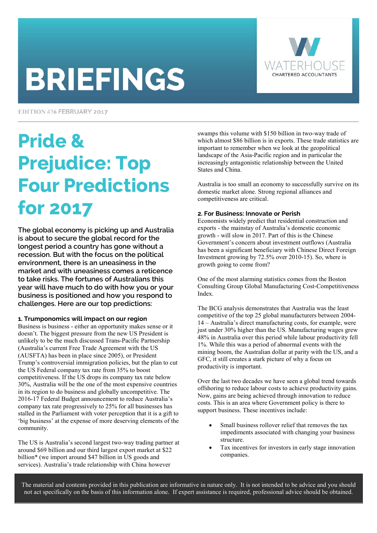# **BRIEFINGS**



EDITION #36 FEBRUARY 2017

## Pride & Prejudice: Top Four Predictions for 2017

The global economy is picking up and Australia is about to secure the global record for the longest period a country has gone without a recession. But with the focus on the political environment, there is an uneasiness in the market and with uneasiness comes a reticence to take risks. The fortunes of Australians this year will have much to do with how you or your business is positioned and how you respond to challenges. Here are our top predictions:

#### **1. Trumponomics will impact on our region**

Business is business - either an opportunity makes sense or it doesn't. The biggest pressure from the new US President is unlikely to be the much discussed Trans-Pacific Partnership (Australia's current Free Trade Agreement with the US (AUSFTA) has been in place since 2005), or President Trump's controversial immigration policies, but the plan to cut the US Federal company tax rate from 35% to boost competitiveness. If the US drops its company tax rate below 30%, Australia will be the one of the most expensive countries in its region to do business and globally uncompetitive. The 2016-17 Federal Budget announcement to reduce Australia's company tax rate progressively to 25% for all businesses has stalled in the Parliament with voter perception that it is a gift to 'big business' at the expense of more deserving elements of the community.

The US is Australia's second largest two-way trading partner at around \$69 billion and our third largest export market at \$22 billion\* (we import around \$47 billion in US goods and services). Australia's trade relationship with China however

swamps this volume with \$150 billion in two-way trade of which almost \$86 billion is in exports. These trade statistics are important to remember when we look at the geopolitical landscape of the Asia-Pacific region and in particular the increasingly antagonistic relationship between the United States and China.

Australia is too small an economy to successfully survive on its domestic market alone. Strong regional alliances and competitiveness are critical.

#### **2. For Business: Innovate or Perish**

Economists widely predict that residential construction and exports - the mainstay of Australia's domestic economic growth - will slow in 2017. Part of this is the Chinese Government's concern about investment outflows (Australia has been a significant beneficiary with Chinese Direct Foreign Investment growing by 72.5% over 2010-15). So, where is growth going to come from?

One of the most alarming statistics comes from the Boston Consulting Group Global Manufacturing Cost-Competitiveness Index.

The BCG analysis demonstrates that Australia was the least competitive of the top 25 global manufacturers between 2004- 14 – Australia's direct manufacturing costs, for example, were just under 30% higher than the US. Manufacturing wages grew 48% in Australia over this period while labour productivity fell 1%. While this was a period of abnormal events with the mining boom, the Australian dollar at parity with the US, and a GFC, it still creates a stark picture of why a focus on productivity is important.

Over the last two decades we have seen a global trend towards offshoring to reduce labour costs to achieve productivity gains. Now, gains are being achieved through innovation to reduce costs. This is an area where Government policy is there to support business. These incentives include:

- Small business rollover relief that removes the tax impediments associated with changing your business structure.
- Tax incentives for investors in early stage innovation companies.

The material and contents provided in this publication are informative in nature only. It is not intended to be advice and you should not act specifically on the basis of this information alone. If expert assistance is required, professional advice should be obtained.